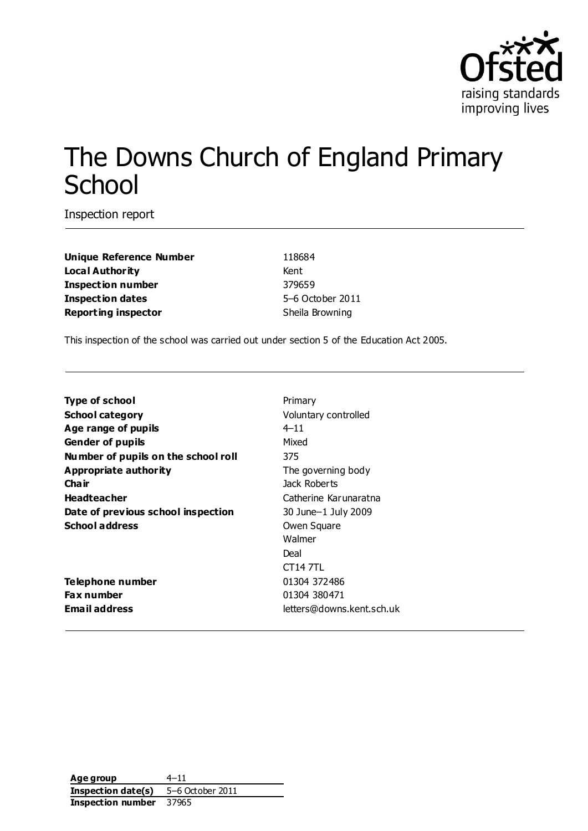

# The Downs Church of England Primary **School**

Inspection report

**Unique Reference Number** 118684 **Local Authority** Kent **Inspection number** 379659 **Inspection dates** 5–6 October 2011 **Reporting inspector** Sheila Browning

This inspection of the school was carried out under section 5 of the Education Act 2005.

| <b>Type of school</b>               | Primary                   |
|-------------------------------------|---------------------------|
| <b>School category</b>              | Voluntary controlled      |
| Age range of pupils                 | $4 - 11$                  |
| <b>Gender of pupils</b>             | Mixed                     |
| Number of pupils on the school roll | 375                       |
| Appropriate authority               | The governing body        |
| Cha ir                              | Jack Roberts              |
| <b>Headteacher</b>                  | Catherine Karunaratna     |
| Date of previous school inspection  | 30 June-1 July 2009       |
| <b>School address</b>               | Owen Square               |
|                                     | Walmer                    |
|                                     | Deal                      |
|                                     | CT14 7TL                  |
| Telephone number                    | 01304 372486              |
| Fax number                          | 01304 380471              |
| <b>Email address</b>                | letters@downs.kent.sch.uk |

**Age group** 4–11 **Inspection date(s)** 5–6 October 2011 **Inspection number** 37965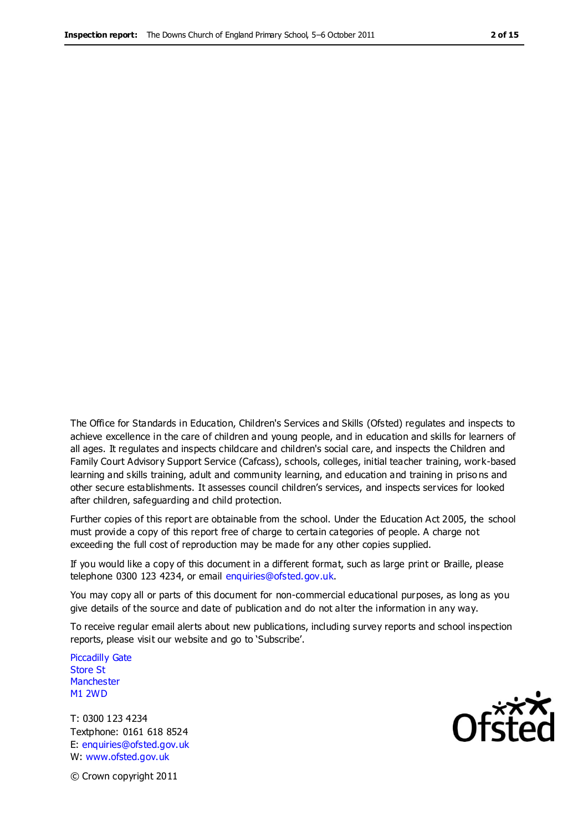The Office for Standards in Education, Children's Services and Skills (Ofsted) regulates and inspects to achieve excellence in the care of children and young people, and in education and skills for learners of all ages. It regulates and inspects childcare and children's social care, and inspects the Children and Family Court Advisory Support Service (Cafcass), schools, colleges, initial teacher training, work-based learning and skills training, adult and community learning, and education and training in priso ns and other secure establishments. It assesses council children's services, and inspects services for looked after children, safeguarding and child protection.

Further copies of this report are obtainable from the school. Under the Education Act 2005, the school must provide a copy of this report free of charge to certain categories of people. A charge not exceeding the full cost of reproduction may be made for any other copies supplied.

If you would like a copy of this document in a different format, such as large print or Braille, please telephone 0300 123 4234, or email enquiries@ofsted.gov.uk.

You may copy all or parts of this document for non-commercial educational purposes, as long as you give details of the source and date of publication and do not alter the information in any way.

To receive regular email alerts about new publications, including survey reports and school inspection reports, please visit our website and go to 'Subscribe'.

Piccadilly Gate Store St **Manchester** M1 2WD

T: 0300 123 4234 Textphone: 0161 618 8524 E: enquiries@ofsted.gov.uk W: www.ofsted.gov.uk

**Ofsted** 

© Crown copyright 2011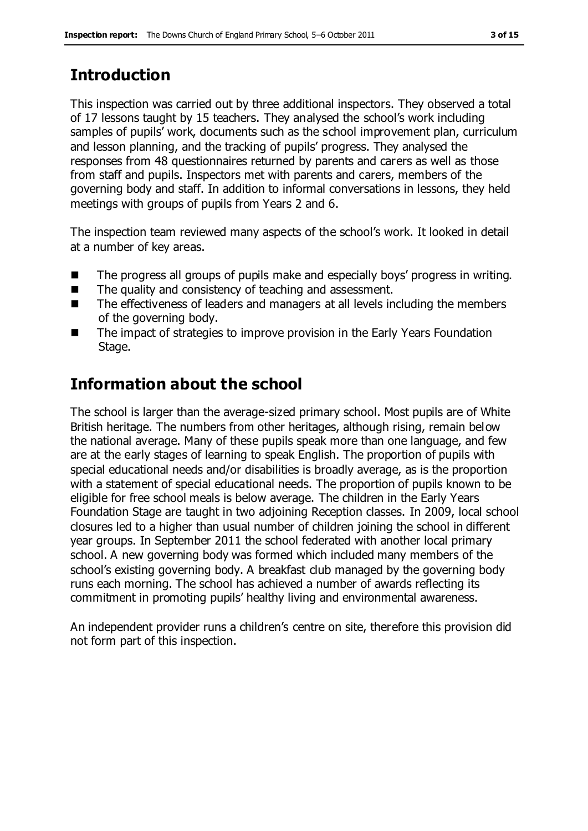# **Introduction**

This inspection was carried out by three additional inspectors. They observed a total of 17 lessons taught by 15 teachers. They analysed the school's work including samples of pupils' work, documents such as the school improvement plan, curriculum and lesson planning, and the tracking of pupils' progress. They analysed the responses from 48 questionnaires returned by parents and carers as well as those from staff and pupils. Inspectors met with parents and carers, members of the governing body and staff. In addition to informal conversations in lessons, they held meetings with groups of pupils from Years 2 and 6.

The inspection team reviewed many aspects of the school's work. It looked in detail at a number of key areas.

- The progress all groups of pupils make and especially boys' progress in writing.
- The quality and consistency of teaching and assessment.
- The effectiveness of leaders and managers at all levels including the members of the governing body.
- The impact of strategies to improve provision in the Early Years Foundation Stage.

# **Information about the school**

The school is larger than the average-sized primary school. Most pupils are of White British heritage. The numbers from other heritages, although rising, remain below the national average. Many of these pupils speak more than one language, and few are at the early stages of learning to speak English. The proportion of pupils with special educational needs and/or disabilities is broadly average, as is the proportion with a statement of special educational needs. The proportion of pupils known to be eligible for free school meals is below average. The children in the Early Years Foundation Stage are taught in two adjoining Reception classes. In 2009, local school closures led to a higher than usual number of children joining the school in different year groups. In September 2011 the school federated with another local primary school. A new governing body was formed which included many members of the school's existing governing body. A breakfast club managed by the governing body runs each morning. The school has achieved a number of awards reflecting its commitment in promoting pupils' healthy living and environmental awareness.

An independent provider runs a children's centre on site, therefore this provision did not form part of this inspection.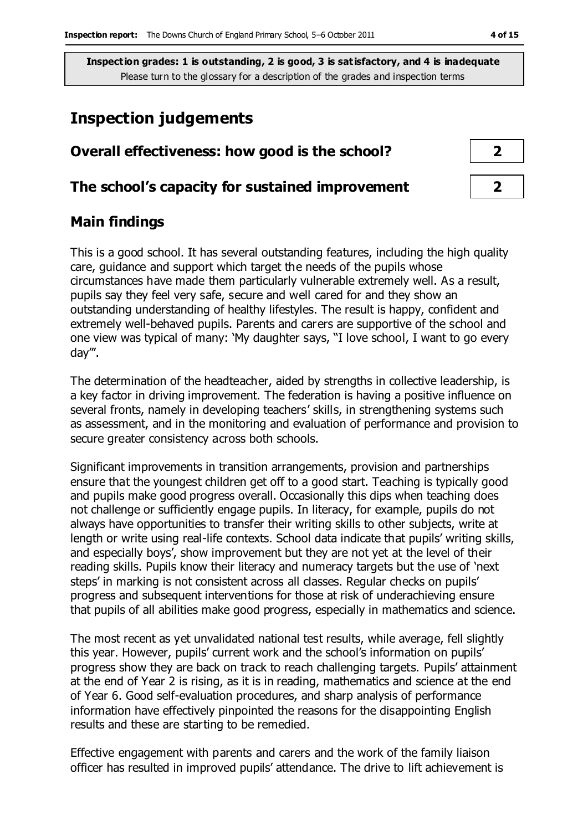## **Inspection judgements**

| Overall effectiveness: how good is the school?  |  |  |
|-------------------------------------------------|--|--|
| The school's capacity for sustained improvement |  |  |

## **Main findings**

This is a good school. It has several outstanding features, including the high quality care, guidance and support which target the needs of the pupils whose circumstances have made them particularly vulnerable extremely well. As a result, pupils say they feel very safe, secure and well cared for and they show an outstanding understanding of healthy lifestyles. The result is happy, confident and extremely well-behaved pupils. Parents and carers are supportive of the school and one view was typical of many: 'My daughter says, "I love school, I want to go every day'''.

The determination of the headteacher, aided by strengths in collective leadership, is a key factor in driving improvement. The federation is having a positive influence on several fronts, namely in developing teachers' skills, in strengthening systems such as assessment, and in the monitoring and evaluation of performance and provision to secure greater consistency across both schools.

Significant improvements in transition arrangements, provision and partnerships ensure that the youngest children get off to a good start. Teaching is typically good and pupils make good progress overall. Occasionally this dips when teaching does not challenge or sufficiently engage pupils. In literacy, for example, pupils do not always have opportunities to transfer their writing skills to other subjects, write at length or write using real-life contexts. School data indicate that pupils' writing skills, and especially boys', show improvement but they are not yet at the level of their reading skills. Pupils know their literacy and numeracy targets but the use of 'next steps' in marking is not consistent across all classes. Regular checks on pupils' progress and subsequent interventions for those at risk of underachieving ensure that pupils of all abilities make good progress, especially in mathematics and science.

The most recent as yet unvalidated national test results, while average, fell slightly this year. However, pupils' current work and the school's information on pupils' progress show they are back on track to reach challenging targets. Pupils' attainment at the end of Year 2 is rising, as it is in reading, mathematics and science at the end of Year 6. Good self-evaluation procedures, and sharp analysis of performance information have effectively pinpointed the reasons for the disappointing English results and these are starting to be remedied.

Effective engagement with parents and carers and the work of the family liaison officer has resulted in improved pupils' attendance. The drive to lift achievement is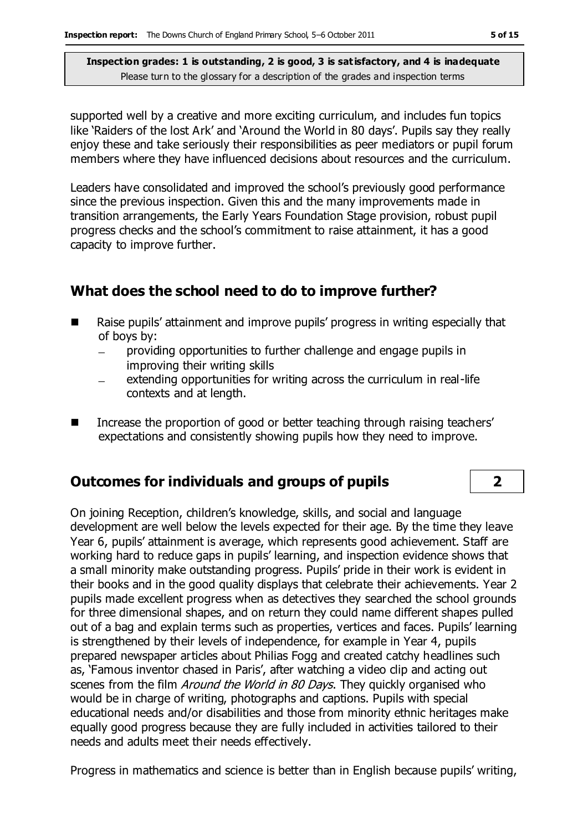supported well by a creative and more exciting curriculum, and includes fun topics like 'Raiders of the lost Ark' and 'Around the World in 80 days'. Pupils say they really enjoy these and take seriously their responsibilities as peer mediators or pupil forum members where they have influenced decisions about resources and the curriculum.

Leaders have consolidated and improved the school's previously good performance since the previous inspection. Given this and the many improvements made in transition arrangements, the Early Years Foundation Stage provision, robust pupil progress checks and the school's commitment to raise attainment, it has a good capacity to improve further.

#### **What does the school need to do to improve further?**

- Raise pupils' attainment and improve pupils' progress in writing especially that of boys by:
	- providing opportunities to further challenge and engage pupils in  $\equiv$ improving their writing skills
	- extending opportunities for writing across the curriculum in real-life contexts and at length.
- Increase the proportion of good or better teaching through raising teachers' expectations and consistently showing pupils how they need to improve.

#### **Outcomes for individuals and groups of pupils 2**

On joining Reception, children's knowledge, skills, and social and language development are well below the levels expected for their age. By the time they leave Year 6, pupils' attainment is average, which represents good achievement. Staff are working hard to reduce gaps in pupils' learning, and inspection evidence shows that a small minority make outstanding progress. Pupils' pride in their work is evident in their books and in the good quality displays that celebrate their achievements. Year 2 pupils made excellent progress when as detectives they searched the school grounds for three dimensional shapes, and on return they could name different shapes pulled out of a bag and explain terms such as properties, vertices and faces. Pupils' learning is strengthened by their levels of independence, for example in Year 4, pupils prepared newspaper articles about Philias Fogg and created catchy headlines such as, 'Famous inventor chased in Paris', after watching a video clip and acting out scenes from the film *Around the World in 80 Days*. They quickly organised who would be in charge of writing, photographs and captions. Pupils with special educational needs and/or disabilities and those from minority ethnic heritages make equally good progress because they are fully included in activities tailored to their needs and adults meet their needs effectively.

Progress in mathematics and science is better than in English because pupils' writing,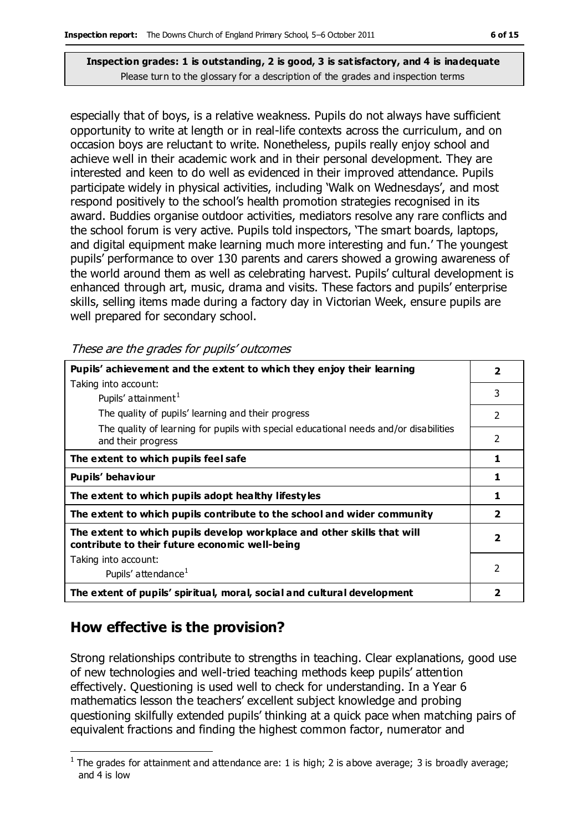especially that of boys, is a relative weakness. Pupils do not always have sufficient opportunity to write at length or in real-life contexts across the curriculum, and on occasion boys are reluctant to write. Nonetheless, pupils really enjoy school and achieve well in their academic work and in their personal development. They are interested and keen to do well as evidenced in their improved attendance. Pupils participate widely in physical activities, including 'Walk on Wednesdays', and most respond positively to the school's health promotion strategies recognised in its award. Buddies organise outdoor activities, mediators resolve any rare conflicts and the school forum is very active. Pupils told inspectors, 'The smart boards, laptops, and digital equipment make learning much more interesting and fun.' The youngest pupils' performance to over 130 parents and carers showed a growing awareness of the world around them as well as celebrating harvest. Pupils' cultural development is enhanced through art, music, drama and visits. These factors and pupils' enterprise skills, selling items made during a factory day in Victorian Week, ensure pupils are well prepared for secondary school.

These are the grades for pupils' outcomes

| Pupils' achievement and the extent to which they enjoy their learning                                                     |                         |
|---------------------------------------------------------------------------------------------------------------------------|-------------------------|
| Taking into account:                                                                                                      |                         |
| Pupils' attainment <sup>1</sup>                                                                                           | 3                       |
| The quality of pupils' learning and their progress                                                                        | 2                       |
| The quality of learning for pupils with special educational needs and/or disabilities<br>and their progress               | 2                       |
| The extent to which pupils feel safe                                                                                      | 1                       |
| Pupils' behaviour                                                                                                         | 1                       |
| The extent to which pupils adopt healthy lifestyles                                                                       | 1                       |
| The extent to which pupils contribute to the school and wider community                                                   | $\overline{\mathbf{2}}$ |
| The extent to which pupils develop workplace and other skills that will<br>contribute to their future economic well-being | 2                       |
| Taking into account:                                                                                                      |                         |
| Pupils' attendance <sup>1</sup>                                                                                           | 2                       |
| The extent of pupils' spiritual, moral, social and cultural development                                                   | 2                       |

## **How effective is the provision?**

Strong relationships contribute to strengths in teaching. Clear explanations, good use of new technologies and well-tried teaching methods keep pupils' attention effectively. Questioning is used well to check for understanding. In a Year 6 mathematics lesson the teachers' excellent subject knowledge and probing questioning skilfully extended pupils' thinking at a quick pace when matching pairs of equivalent fractions and finding the highest common factor, numerator and

 $\overline{a}$ <sup>1</sup> The grades for attainment and attendance are: 1 is high; 2 is above average; 3 is broadly average; and 4 is low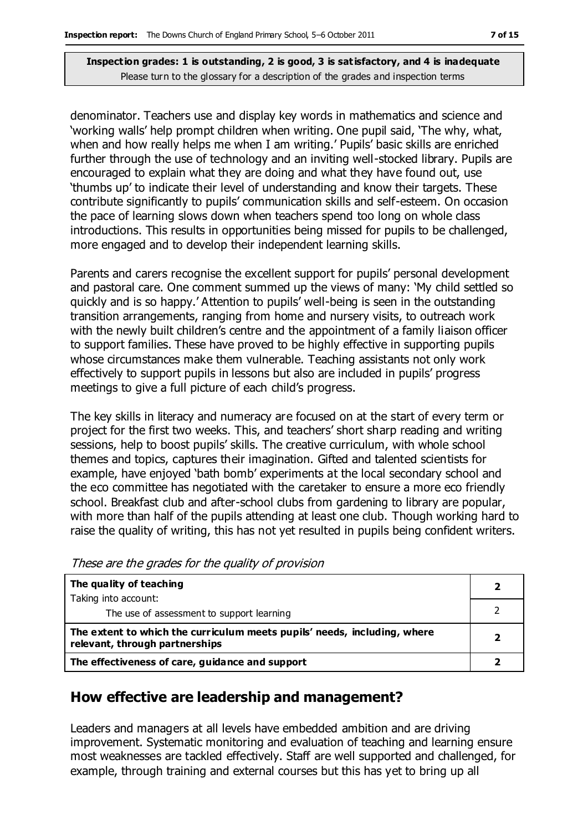denominator. Teachers use and display key words in mathematics and science and 'working walls' help prompt children when writing. One pupil said, 'The why, what, when and how really helps me when I am writing.' Pupils' basic skills are enriched further through the use of technology and an inviting well-stocked library. Pupils are encouraged to explain what they are doing and what they have found out, use 'thumbs up' to indicate their level of understanding and know their targets. These contribute significantly to pupils' communication skills and self-esteem. On occasion the pace of learning slows down when teachers spend too long on whole class introductions. This results in opportunities being missed for pupils to be challenged, more engaged and to develop their independent learning skills.

Parents and carers recognise the excellent support for pupils' personal development and pastoral care. One comment summed up the views of many: 'My child settled so quickly and is so happy.' Attention to pupils' well-being is seen in the outstanding transition arrangements, ranging from home and nursery visits, to outreach work with the newly built children's centre and the appointment of a family liaison officer to support families. These have proved to be highly effective in supporting pupils whose circumstances make them vulnerable. Teaching assistants not only work effectively to support pupils in lessons but also are included in pupils' progress meetings to give a full picture of each child's progress.

The key skills in literacy and numeracy are focused on at the start of every term or project for the first two weeks. This, and teachers' short sharp reading and writing sessions, help to boost pupils' skills. The creative curriculum, with whole school themes and topics, captures their imagination. Gifted and talented scientists for example, have enjoyed 'bath bomb' experiments at the local secondary school and the eco committee has negotiated with the caretaker to ensure a more eco friendly school. Breakfast club and after-school clubs from gardening to library are popular, with more than half of the pupils attending at least one club. Though working hard to raise the quality of writing, this has not yet resulted in pupils being confident writers.

These are the grades for the quality of provision

| The quality of teaching                                                                                    |  |
|------------------------------------------------------------------------------------------------------------|--|
| Taking into account:                                                                                       |  |
| The use of assessment to support learning                                                                  |  |
| The extent to which the curriculum meets pupils' needs, including, where<br>relevant, through partnerships |  |
| The effectiveness of care, guidance and support                                                            |  |

#### **How effective are leadership and management?**

Leaders and managers at all levels have embedded ambition and are driving improvement. Systematic monitoring and evaluation of teaching and learning ensure most weaknesses are tackled effectively. Staff are well supported and challenged, for example, through training and external courses but this has yet to bring up all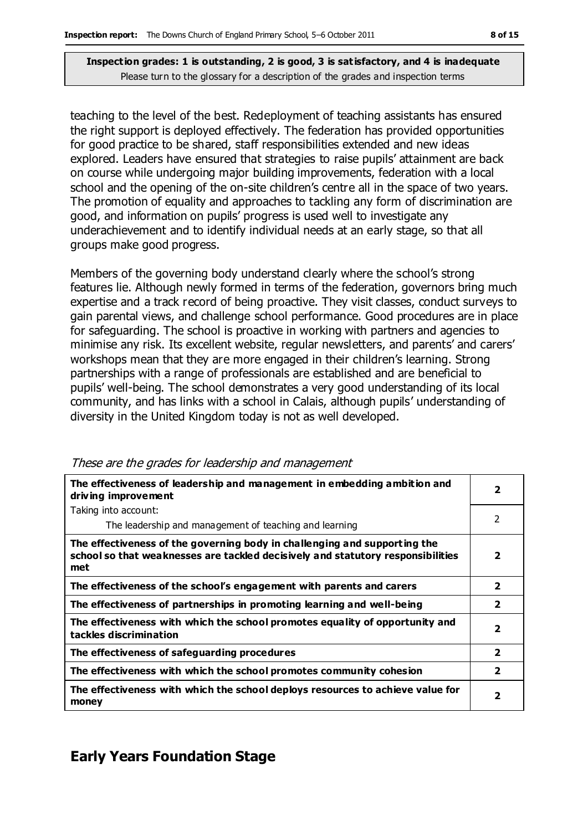teaching to the level of the best. Redeployment of teaching assistants has ensured the right support is deployed effectively. The federation has provided opportunities for good practice to be shared, staff responsibilities extended and new ideas explored. Leaders have ensured that strategies to raise pupils' attainment are back on course while undergoing major building improvements, federation with a local school and the opening of the on-site children's centre all in the space of two years. The promotion of equality and approaches to tackling any form of discrimination are good, and information on pupils' progress is used well to investigate any underachievement and to identify individual needs at an early stage, so that all groups make good progress.

Members of the governing body understand clearly where the school's strong features lie. Although newly formed in terms of the federation, governors bring much expertise and a track record of being proactive. They visit classes, conduct surveys to gain parental views, and challenge school performance. Good procedures are in place for safeguarding. The school is proactive in working with partners and agencies to minimise any risk. Its excellent website, regular newsletters, and parents' and carers' workshops mean that they are more engaged in their children's learning. Strong partnerships with a range of professionals are established and are beneficial to pupils' well-being. The school demonstrates a very good understanding of its local community, and has links with a school in Calais, although pupils' understanding of diversity in the United Kingdom today is not as well developed.

| The effectiveness of leadership and management in embedding ambition and<br>driving improvement                                                                     | $\overline{\mathbf{2}}$ |
|---------------------------------------------------------------------------------------------------------------------------------------------------------------------|-------------------------|
| Taking into account:                                                                                                                                                |                         |
| The leadership and management of teaching and learning                                                                                                              | 2                       |
| The effectiveness of the governing body in challenging and supporting the<br>school so that weaknesses are tackled decisively and statutory responsibilities<br>met | $\mathbf{2}$            |
| The effectiveness of the school's engagement with parents and carers                                                                                                | $\overline{2}$          |
| The effectiveness of partnerships in promoting learning and well-being                                                                                              | $\overline{\mathbf{2}}$ |
| The effectiveness with which the school promotes equality of opportunity and<br>tackles discrimination                                                              | $\overline{\mathbf{2}}$ |
| The effectiveness of safeguarding procedures                                                                                                                        | $\overline{2}$          |
| The effectiveness with which the school promotes community cohesion                                                                                                 | $\overline{2}$          |
| The effectiveness with which the school deploys resources to achieve value for<br>money                                                                             | $\mathbf{2}$            |

These are the grades for leadership and management

## **Early Years Foundation Stage**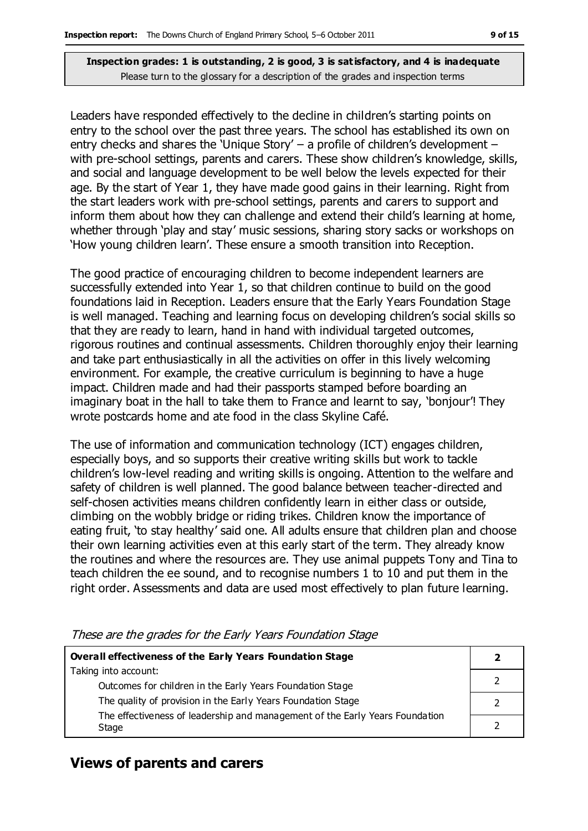Leaders have responded effectively to the decline in children's starting points on entry to the school over the past three years. The school has established its own on entry checks and shares the 'Unique Story' – a profile of children's development – with pre-school settings, parents and carers. These show children's knowledge, skills, and social and language development to be well below the levels expected for their age. By the start of Year 1, they have made good gains in their learning. Right from the start leaders work with pre-school settings, parents and carers to support and inform them about how they can challenge and extend their child's learning at home, whether through 'play and stay' music sessions, sharing story sacks or workshops on 'How young children learn'. These ensure a smooth transition into Reception.

The good practice of encouraging children to become independent learners are successfully extended into Year 1, so that children continue to build on the good foundations laid in Reception. Leaders ensure that the Early Years Foundation Stage is well managed. Teaching and learning focus on developing children's social skills so that they are ready to learn, hand in hand with individual targeted outcomes, rigorous routines and continual assessments. Children thoroughly enjoy their learning and take part enthusiastically in all the activities on offer in this lively welcoming environment. For example, the creative curriculum is beginning to have a huge impact. Children made and had their passports stamped before boarding an imaginary boat in the hall to take them to France and learnt to say, 'bonjour'! They wrote postcards home and ate food in the class Skyline Café.

The use of information and communication technology (ICT) engages children, especially boys, and so supports their creative writing skills but work to tackle children's low-level reading and writing skills is ongoing. Attention to the welfare and safety of children is well planned. The good balance between teacher-directed and self-chosen activities means children confidently learn in either class or outside, climbing on the wobbly bridge or riding trikes. Children know the importance of eating fruit, 'to stay healthy' said one. All adults ensure that children plan and choose their own learning activities even at this early start of the term. They already know the routines and where the resources are. They use animal puppets Tony and Tina to teach children the ee sound, and to recognise numbers 1 to 10 and put them in the right order. Assessments and data are used most effectively to plan future learning.

| Overall effectiveness of the Early Years Foundation Stage                    |  |
|------------------------------------------------------------------------------|--|
| Taking into account:                                                         |  |
| Outcomes for children in the Early Years Foundation Stage                    |  |
| The quality of provision in the Early Years Foundation Stage                 |  |
| The effectiveness of leadership and management of the Early Years Foundation |  |

These are the grades for the Early Years Foundation Stage

## **Views of parents and carers**

Stage

**2**

2

2

2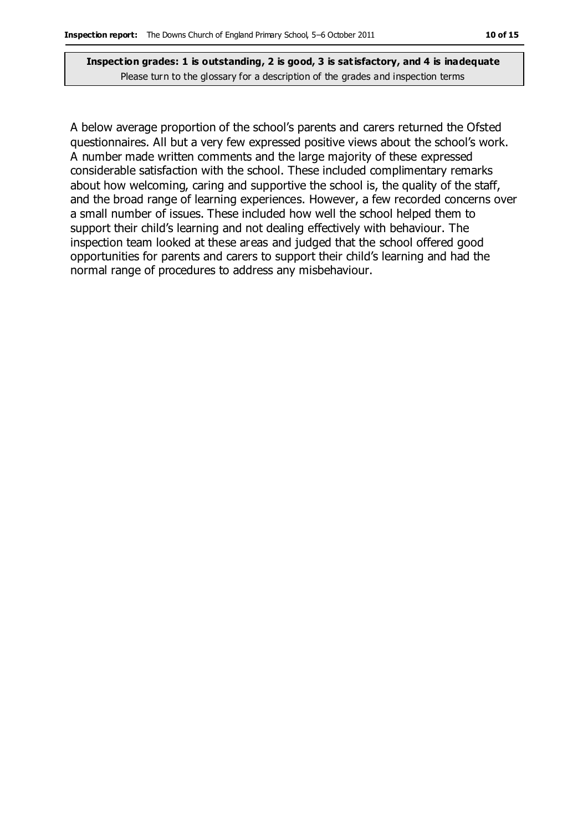A below average proportion of the school's parents and carers returned the Ofsted questionnaires. All but a very few expressed positive views about the school's work. A number made written comments and the large majority of these expressed considerable satisfaction with the school. These included complimentary remarks about how welcoming, caring and supportive the school is, the quality of the staff, and the broad range of learning experiences. However, a few recorded concerns over a small number of issues. These included how well the school helped them to support their child's learning and not dealing effectively with behaviour. The inspection team looked at these areas and judged that the school offered good opportunities for parents and carers to support their child's learning and had the normal range of procedures to address any misbehaviour.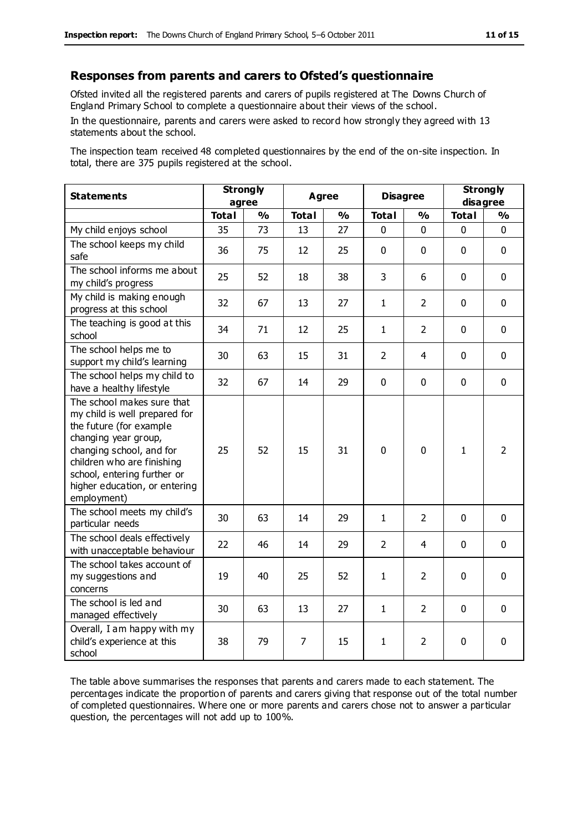#### **Responses from parents and carers to Ofsted's questionnaire**

Ofsted invited all the registered parents and carers of pupils registered at The Downs Church of England Primary School to complete a questionnaire about their views of the school.

In the questionnaire, parents and carers were asked to record how strongly they agreed with 13 statements about the school.

The inspection team received 48 completed questionnaires by the end of the on-site inspection. In total, there are 375 pupils registered at the school.

| <b>Statements</b>                                                                                                                                                                                                                                       | <b>Strongly</b><br>agree |               | <b>Agree</b> |               | <b>Disagree</b> |                | <b>Strongly</b><br>disagree |                |
|---------------------------------------------------------------------------------------------------------------------------------------------------------------------------------------------------------------------------------------------------------|--------------------------|---------------|--------------|---------------|-----------------|----------------|-----------------------------|----------------|
|                                                                                                                                                                                                                                                         | <b>Total</b>             | $\frac{0}{0}$ | <b>Total</b> | $\frac{1}{2}$ | <b>Total</b>    | $\frac{0}{0}$  | <b>Total</b>                | $\frac{1}{2}$  |
| My child enjoys school                                                                                                                                                                                                                                  | 35                       | 73            | 13           | 27            | 0               | 0              | 0                           | $\Omega$       |
| The school keeps my child<br>safe                                                                                                                                                                                                                       | 36                       | 75            | 12           | 25            | $\mathbf 0$     | $\mathbf 0$    | $\mathbf{0}$                | $\mathbf 0$    |
| The school informs me about<br>my child's progress                                                                                                                                                                                                      | 25                       | 52            | 18           | 38            | 3               | 6              | $\mathbf 0$                 | $\mathbf 0$    |
| My child is making enough<br>progress at this school                                                                                                                                                                                                    | 32                       | 67            | 13           | 27            | $\mathbf{1}$    | $\overline{2}$ | $\mathbf 0$                 | $\mathbf 0$    |
| The teaching is good at this<br>school                                                                                                                                                                                                                  | 34                       | 71            | 12           | 25            | $\mathbf{1}$    | $\overline{2}$ | $\mathbf 0$                 | $\mathbf 0$    |
| The school helps me to<br>support my child's learning                                                                                                                                                                                                   | 30                       | 63            | 15           | 31            | $\overline{2}$  | 4              | $\mathbf 0$                 | $\mathbf 0$    |
| The school helps my child to<br>have a healthy lifestyle                                                                                                                                                                                                | 32                       | 67            | 14           | 29            | 0               | $\mathbf 0$    | $\mathbf 0$                 | $\mathbf 0$    |
| The school makes sure that<br>my child is well prepared for<br>the future (for example<br>changing year group,<br>changing school, and for<br>children who are finishing<br>school, entering further or<br>higher education, or entering<br>employment) | 25                       | 52            | 15           | 31            | 0               | $\mathbf 0$    | $\mathbf{1}$                | $\overline{2}$ |
| The school meets my child's<br>particular needs                                                                                                                                                                                                         | 30                       | 63            | 14           | 29            | $\mathbf{1}$    | $\overline{2}$ | $\mathbf 0$                 | $\mathbf 0$    |
| The school deals effectively<br>with unacceptable behaviour                                                                                                                                                                                             | 22                       | 46            | 14           | 29            | $\overline{2}$  | 4              | $\mathbf 0$                 | $\mathbf 0$    |
| The school takes account of<br>my suggestions and<br>concerns                                                                                                                                                                                           | 19                       | 40            | 25           | 52            | $\mathbf{1}$    | $\overline{2}$ | $\mathbf 0$                 | $\mathbf 0$    |
| The school is led and<br>managed effectively                                                                                                                                                                                                            | 30                       | 63            | 13           | 27            | $\mathbf{1}$    | $\overline{2}$ | $\mathbf 0$                 | $\mathbf 0$    |
| Overall, I am happy with my<br>child's experience at this<br>school                                                                                                                                                                                     | 38                       | 79            | 7            | 15            | $\mathbf{1}$    | 2              | $\mathbf 0$                 | 0              |

The table above summarises the responses that parents and carers made to each statement. The percentages indicate the proportion of parents and carers giving that response out of the total number of completed questionnaires. Where one or more parents and carers chose not to answer a particular question, the percentages will not add up to 100%.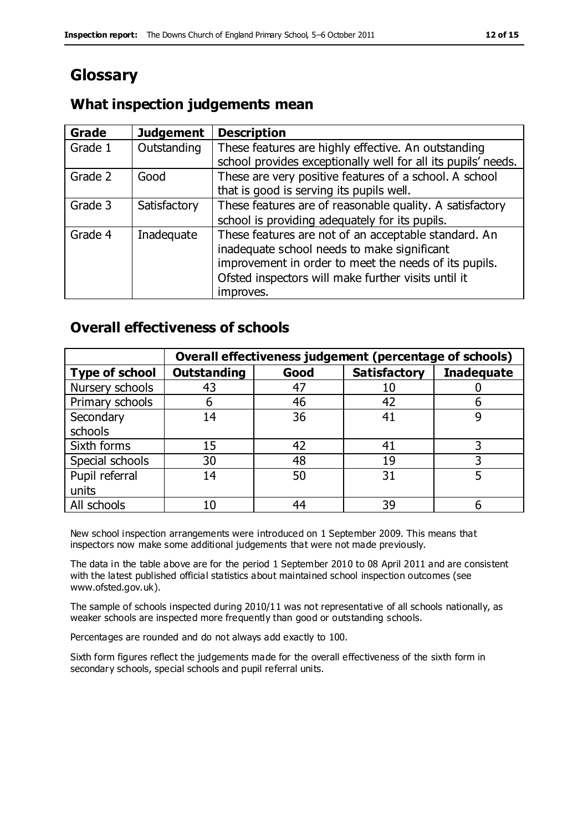# **Glossary**

#### **What inspection judgements mean**

| <b>Grade</b> | <b>Judgement</b> | <b>Description</b>                                            |
|--------------|------------------|---------------------------------------------------------------|
| Grade 1      | Outstanding      | These features are highly effective. An outstanding           |
|              |                  | school provides exceptionally well for all its pupils' needs. |
| Grade 2      | Good             | These are very positive features of a school. A school        |
|              |                  | that is good is serving its pupils well.                      |
| Grade 3      | Satisfactory     | These features are of reasonable quality. A satisfactory      |
|              |                  | school is providing adequately for its pupils.                |
| Grade 4      | Inadequate       | These features are not of an acceptable standard. An          |
|              |                  | inadequate school needs to make significant                   |
|              |                  | improvement in order to meet the needs of its pupils.         |
|              |                  | Ofsted inspectors will make further visits until it           |
|              |                  | improves.                                                     |

#### **Overall effectiveness of schools**

|                       | Overall effectiveness judgement (percentage of schools) |      |                     |                   |
|-----------------------|---------------------------------------------------------|------|---------------------|-------------------|
| <b>Type of school</b> | <b>Outstanding</b>                                      | Good | <b>Satisfactory</b> | <b>Inadequate</b> |
| Nursery schools       | 43                                                      | 47   | 10                  |                   |
| Primary schools       | 6                                                       | 46   | 42                  |                   |
| Secondary             | 14                                                      | 36   | 41                  |                   |
| schools               |                                                         |      |                     |                   |
| Sixth forms           | 15                                                      | 42   | 41                  | 3                 |
| Special schools       | 30                                                      | 48   | 19                  |                   |
| Pupil referral        | 14                                                      | 50   | 31                  |                   |
| units                 |                                                         |      |                     |                   |
| All schools           | 10                                                      | 44   | 39                  |                   |

New school inspection arrangements were introduced on 1 September 2009. This means that inspectors now make some additional judgements that were not made previously.

The data in the table above are for the period 1 September 2010 to 08 April 2011 and are consistent with the latest published official statistics about maintained school inspection outcomes (see www.ofsted.gov.uk).

The sample of schools inspected during 2010/11 was not representative of all schools nationally, as weaker schools are inspected more frequently than good or outstanding schools.

Percentages are rounded and do not always add exactly to 100.

Sixth form figures reflect the judgements made for the overall effectiveness of the sixth form in secondary schools, special schools and pupil referral units.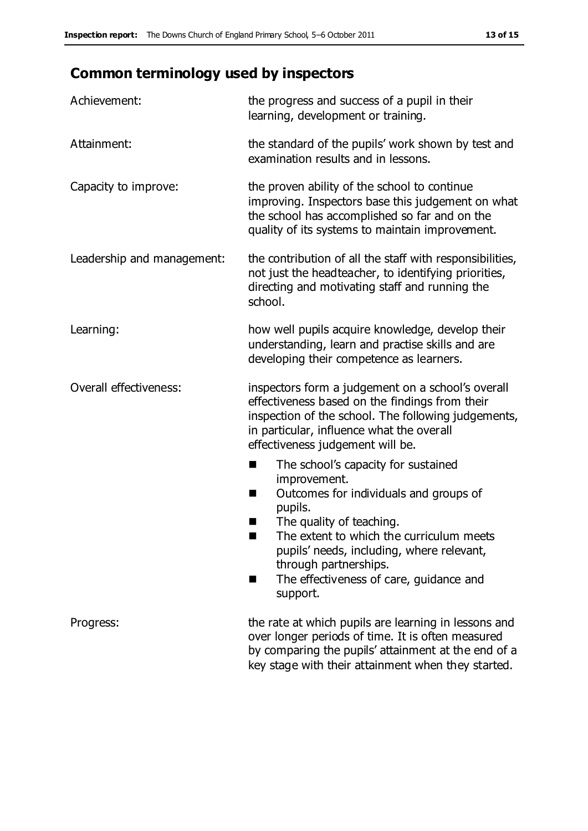# **Common terminology used by inspectors**

| Achievement:               | the progress and success of a pupil in their<br>learning, development or training.                                                                                                                                                                                                                                                 |
|----------------------------|------------------------------------------------------------------------------------------------------------------------------------------------------------------------------------------------------------------------------------------------------------------------------------------------------------------------------------|
| Attainment:                | the standard of the pupils' work shown by test and<br>examination results and in lessons.                                                                                                                                                                                                                                          |
| Capacity to improve:       | the proven ability of the school to continue<br>improving. Inspectors base this judgement on what<br>the school has accomplished so far and on the<br>quality of its systems to maintain improvement.                                                                                                                              |
| Leadership and management: | the contribution of all the staff with responsibilities,<br>not just the headteacher, to identifying priorities,<br>directing and motivating staff and running the<br>school.                                                                                                                                                      |
| Learning:                  | how well pupils acquire knowledge, develop their<br>understanding, learn and practise skills and are<br>developing their competence as learners.                                                                                                                                                                                   |
| Overall effectiveness:     | inspectors form a judgement on a school's overall<br>effectiveness based on the findings from their<br>inspection of the school. The following judgements,<br>in particular, influence what the overall<br>effectiveness judgement will be.                                                                                        |
|                            | The school's capacity for sustained<br>E<br>improvement.<br>Outcomes for individuals and groups of<br>H<br>pupils.<br>The quality of teaching.<br>The extent to which the curriculum meets<br>ш<br>pupils' needs, including, where relevant,<br>through partnerships.<br>The effectiveness of care, guidance and<br>H.<br>support. |
| Progress:                  | the rate at which pupils are learning in lessons and<br>over longer periods of time. It is often measured<br>by comparing the pupils' attainment at the end of a<br>key stage with their attainment when they started.                                                                                                             |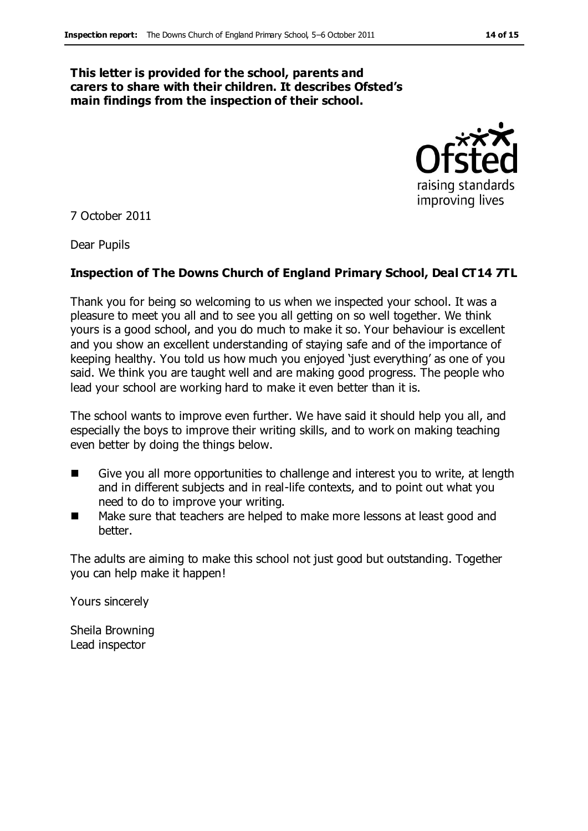#### **This letter is provided for the school, parents and carers to share with their children. It describes Ofsted's main findings from the inspection of their school.**



7 October 2011

Dear Pupils

#### **Inspection of The Downs Church of England Primary School, Deal CT14 7TL**

Thank you for being so welcoming to us when we inspected your school. It was a pleasure to meet you all and to see you all getting on so well together. We think yours is a good school, and you do much to make it so. Your behaviour is excellent and you show an excellent understanding of staying safe and of the importance of keeping healthy. You told us how much you enjoyed 'just everything' as one of you said. We think you are taught well and are making good progress. The people who lead your school are working hard to make it even better than it is.

The school wants to improve even further. We have said it should help you all, and especially the boys to improve their writing skills, and to work on making teaching even better by doing the things below.

- Give you all more opportunities to challenge and interest you to write, at length and in different subjects and in real-life contexts, and to point out what you need to do to improve your writing.
- Make sure that teachers are helped to make more lessons at least good and better.

The adults are aiming to make this school not just good but outstanding. Together you can help make it happen!

Yours sincerely

Sheila Browning Lead inspector